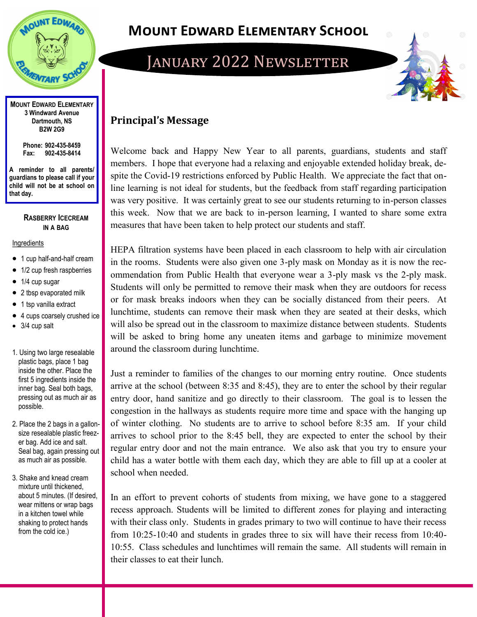

**MOUNT EDWARD ELEMENTARY 3 Windward Avenue Dartmouth, NS B2W 2G9**

> **Phone: 902-435-8459 Fax: 902-435-8414**

**A reminder to all parents/ guardians to please call if your child will not be at school on that day.**

### **RASBERRY ICECREAM IN A BAG**

#### Ingredients

- 1 cup half-and-half cream
- 1/2 cup fresh raspberries
- 1/4 cup sugar
- 2 tbsp evaporated milk
- 1 tsp vanilla extract
- 4 cups coarsely crushed ice
- 3/4 cup salt
- 1. Using two large resealable plastic bags, place 1 bag inside the other. Place the first 5 ingredients inside the inner bag. Seal both bags, pressing out as much air as possible.
- 2. Place the 2 bags in a gallonsize resealable plastic freezer bag. Add ice and salt. Seal bag, again pressing out as much air as possible.
- 3. Shake and knead cream mixture until thickened, about 5 minutes. (If desired, wear mittens or wrap bags in a kitchen towel while shaking to protect hands from the cold ice.)

## **Mount Edward Elementary School**

## JANUARY 2022 NEWSLETTER



## **Principal's Message**

Welcome back and Happy New Year to all parents, guardians, students and staff members. I hope that everyone had a relaxing and enjoyable extended holiday break, despite the Covid-19 restrictions enforced by Public Health. We appreciate the fact that online learning is not ideal for students, but the feedback from staff regarding participation was very positive. It was certainly great to see our students returning to in-person classes this week. Now that we are back to in-person learning, I wanted to share some extra measures that have been taken to help protect our students and staff.

HEPA filtration systems have been placed in each classroom to help with air circulation in the rooms. Students were also given one 3-ply mask on Monday as it is now the recommendation from Public Health that everyone wear a 3-ply mask vs the 2-ply mask. Students will only be permitted to remove their mask when they are outdoors for recess or for mask breaks indoors when they can be socially distanced from their peers. At lunchtime, students can remove their mask when they are seated at their desks, which will also be spread out in the classroom to maximize distance between students. Students will be asked to bring home any uneaten items and garbage to minimize movement around the classroom during lunchtime.

Just a reminder to families of the changes to our morning entry routine. Once students arrive at the school (between 8:35 and 8:45), they are to enter the school by their regular entry door, hand sanitize and go directly to their classroom. The goal is to lessen the congestion in the hallways as students require more time and space with the hanging up of winter clothing. No students are to arrive to school before 8:35 am. If your child arrives to school prior to the 8:45 bell, they are expected to enter the school by their regular entry door and not the main entrance. We also ask that you try to ensure your child has a water bottle with them each day, which they are able to fill up at a cooler at school when needed.

In an effort to prevent cohorts of students from mixing, we have gone to a staggered recess approach. Students will be limited to different zones for playing and interacting with their class only. Students in grades primary to two will continue to have their recess from 10:25-10:40 and students in grades three to six will have their recess from 10:40- 10:55. Class schedules and lunchtimes will remain the same. All students will remain in their classes to eat their lunch.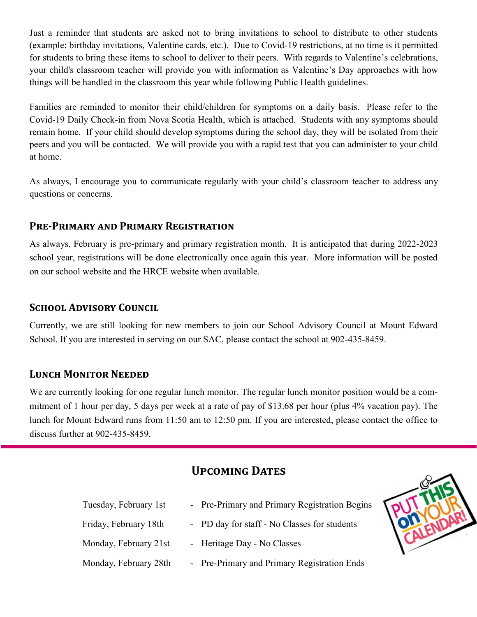Just a reminder that students are asked not to bring invitations to school to distribute to other students (example: birthday invitations, Valentine cards, etc.). Due to Covid-19 restrictions, at no time is it permitted for students to bring these items to school to deliver to their peers. With regards to Valentine's celebrations, your child's classroom teacher will provide you with information as Valentine's Day approaches with how things will be handled in the classroom this year while following Public Health guidelines.

Families are reminded to monitor their child/children for symptoms on a daily basis. Please refer to the Covid-19 Daily Check-in from Nova Scotia Health, which is attached. Students with any symptoms should remain home. If your child should develop symptoms during the school day, they will be isolated from their peers and you will be contacted. We will provide you with a rapid test that you can administer to your child at home.

As always, I encourage you to communicate regularly with your child's classroom teacher to address any questions or concerns.

## **Pre-Primary and Primary Registration**

As always, February is pre-primary and primary registration month. It is anticipated that during 2022-2023 school year, registrations will be done electronically once again this year. More information will be posted on our school website and the HRCE website when available.

## **School Advisory Council**

Currently, we are still looking for new members to join our School Advisory Council at Mount Edward School. If you are interested in serving on our SAC, please contact the school at 902-435-8459.

## **Lunch Monitor Needed**

We are currently looking for one regular lunch monitor. The regular lunch monitor position would be a commitment of 1 hour per day, 5 days per week at a rate of pay of \$13.68 per hour (plus 4% vacation pay). The lunch for Mount Edward runs from 11:50 am to 12:50 pm. If you are interested, please contact the office to discuss further at 902-435-8459.

## **UPCOMING DATES**

| Tuesday, February 1st | - Pre-Primary and Primary Registration Begins |
|-----------------------|-----------------------------------------------|
| Friday, February 18th | - PD day for staff - No Classes for students  |
| Monday, February 21st | - Heritage Day - No Classes                   |
| Monday, February 28th | - Pre-Primary and Primary Registration Ends   |

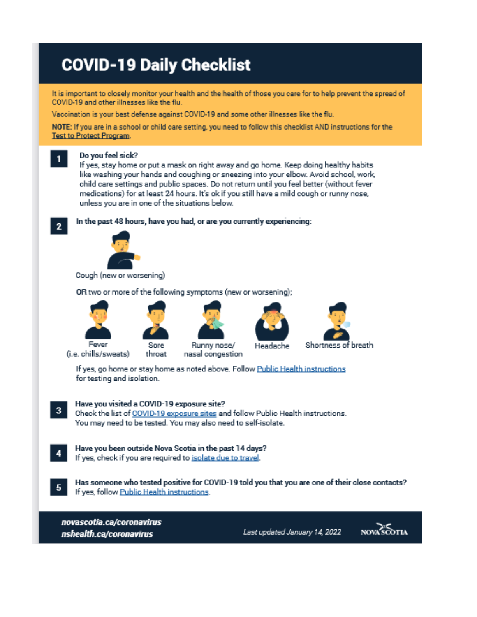# **COVID-19 Daily Checklist**

It is important to closely monitor your health and the health of those you care for to help prevent the spread of COVID-19 and other illnesses like the flu.

Vaccination is your best defense against COVID-19 and some other illnesses like the flu.

NOTE: If you are in a school or child care setting, you need to follow this checklist AND instructions for the **Test to Protect Program.** 

#### 1

 $\mathbf{2}$ 

#### Do you feel sick?

If yes, stay home or put a mask on right away and go home. Keep doing healthy habits like washing your hands and coughing or sneezing into your elbow. Avoid school, work, child care settings and public spaces. Do not return until you feel better (without fever medications) for at least 24 hours. It's ok if you still have a mild cough or runny nose, unless you are in one of the situations below.

In the past 48 hours, have you had, or are you currently experiencing:



Cough (new or worsening)

OR two or more of the following symptoms (new or worsening);











(i.e. chills/sweats)



Shortness of breath

If yes, go home or stay home as noted above. Follow Public Health instructions for testing and isolation.

#### Have you visited a COVID-19 exposure site? 3

Check the list of COVID-19 exposure sites and follow Public Health instructions. You may need to be tested. You may also need to self-isolate.

- Have you been outside Nova Scotia in the past 14 days? If yes, check if you are required to isolate due to travel.
	- Has someone who tested positive for COVID-19 told you that you are one of their close contacts? If yes, follow Public Health instructions.

novascotia.ca/coronavirus nshealth.ca/coronavirus

Last updated January 14, 2022